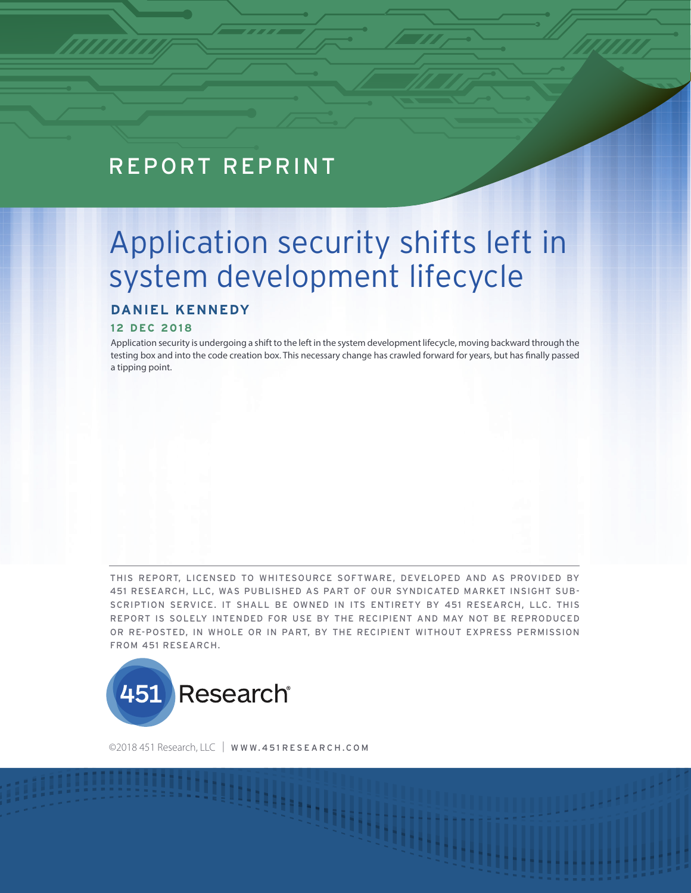## REPORT REPRINT

# Application security shifts left in system development lifecycle

### **DANIEL KENNEDY**

#### **12 DEC 2018**

Application security is undergoing a shift to the left in the system development lifecycle, moving backward through the testing box and into the code creation box. This necessary change has crawled forward for years, but has finally passed a tipping point.

THIS REPORT, LICENSED TO WHITESOURCE SOFTWARE, DEVELOPED AND AS PROVIDED BY 451 RESEARCH, LLC, WAS PUBLISHED AS PART OF OUR SYNDICATED MARKET INSIGHT SUB-SCRIPTION SERVICE. IT SHALL BE OWNED IN ITS ENTIRETY BY 451 RESEARCH, LLC. THIS REPORT IS SOLELY INTENDED FOR USE BY THE RECIPIENT AND MAY NOT BE REPRODUCED OR RE-POSTED, IN WHOLE OR IN PART, BY THE RECIPIENT WITHOUT EXPRESS PERMISSION FROM 451 RESEARCH.



©2018 451 Research, LLC | WWW.451 RESEARCH.COM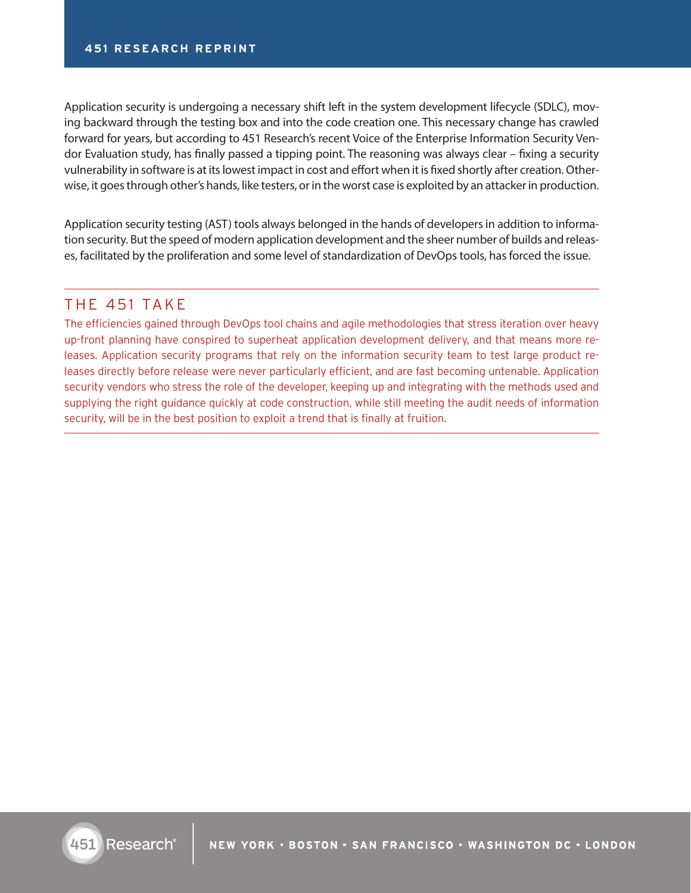Application security is undergoing a necessary shift left in the system development lifecycle (SDLC), moving backward through the testing box and into the code creation one. This necessary change has crawled forward for years, but according to 451 Research's recent Voice of the Enterprise Information Security Vendor Evaluation study, has finally passed a tipping point. The reasoning was always clear – fixing a security vulnerability in software is at its lowest impact in cost and effort when it is fixed shortly after creation. Otherwise, it goes through other's hands, like testers, or in the worst case is exploited by an attacker in production.

Application security testing (AST) tools always belonged in the hands of developers in addition to information security. But the speed of modern application development and the sheer number of builds and releases, facilitated by the proliferation and some level of standardization of DevOps tools, has forced the issue.

### THE 451 TAKE

The efficiencies gained through DevOps tool chains and agile methodologies that stress iteration over heavy up-front planning have conspired to superheat application development delivery, and that means more releases. Application security programs that rely on the information security team to test large product releases directly before release were never particularly efficient, and are fast becoming untenable. Application security vendors who stress the role of the developer, keeping up and integrating with the methods used and supplying the right guidance quickly at code construction, while still meeting the audit needs of information security, will be in the best position to exploit a trend that is finally at fruition.

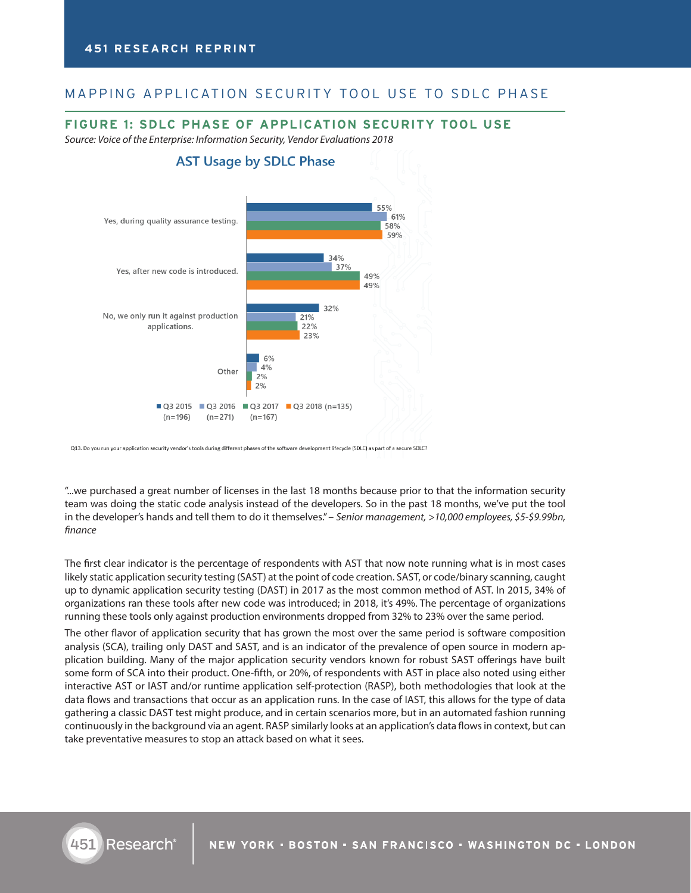#### MAPPING APPLICATION SECURITY TOOL USE TO SDLC PHASE

#### **FIGURE 1: SDLC PHASE OF APPLICATION SECURITY TOOL USE**

*Source: Voice of the Enterprise: Information Security, Vendor Evaluations 2018*



Q13. Do you run your application security vendor's tools during different phases of the software development lifecycle (SDLC) as part of a secure SDLC?

451

"...we purchased a great number of licenses in the last 18 months because prior to that the information security team was doing the static code analysis instead of the developers. So in the past 18 months, we've put the tool in the developer's hands and tell them to do it themselves." – *Senior management, >10,000 employees, \$5-\$9.99bn, finance*

The first clear indicator is the percentage of respondents with AST that now note running what is in most cases likely static application security testing (SAST) at the point of code creation. SAST, or code/binary scanning, caught up to dynamic application security testing (DAST) in 2017 as the most common method of AST. In 2015, 34% of organizations ran these tools after new code was introduced; in 2018, it's 49%. The percentage of organizations running these tools only against production environments dropped from 32% to 23% over the same period.

The other flavor of application security that has grown the most over the same period is software composition analysis (SCA), trailing only DAST and SAST, and is an indicator of the prevalence of open source in modern application building. Many of the major application security vendors known for robust SAST offerings have built some form of SCA into their product. One-fifth, or 20%, of respondents with AST in place also noted using either interactive AST or IAST and/or runtime application self-protection (RASP), both methodologies that look at the data flows and transactions that occur as an application runs. In the case of IAST, this allows for the type of data gathering a classic DAST test might produce, and in certain scenarios more, but in an automated fashion running continuously in the background via an agent. RASP similarly looks at an application's data flows in context, but can take preventative measures to stop an attack based on what it sees.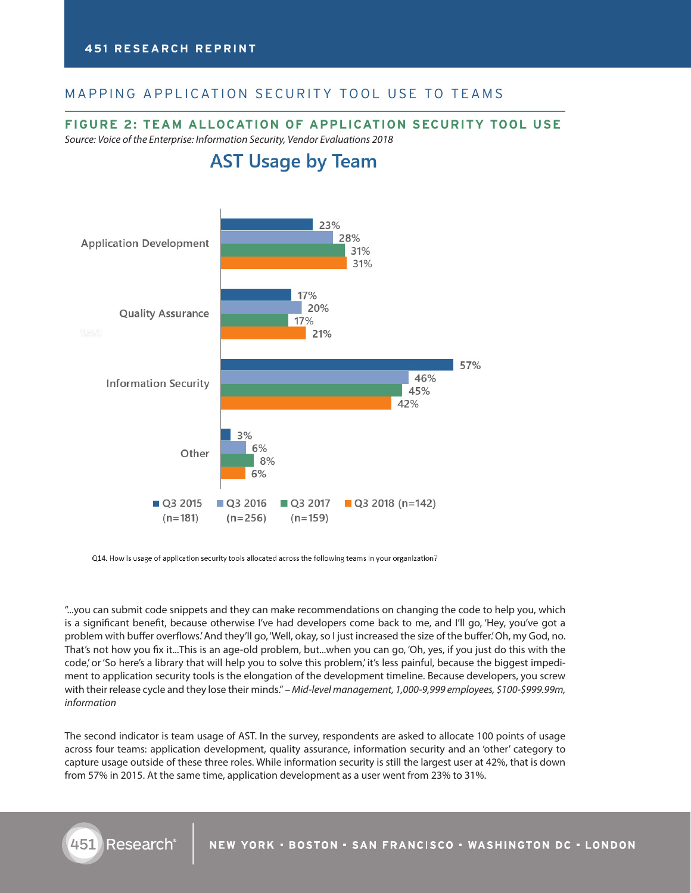#### MAPPING APPLICATION SECURITY TOOL USE TO TEAMS

#### **FIGURE 2: TEAM ALLOCATION OF APPLICATION SECURITY TOOL USE**

*Source: Voice of the Enterprise: Information Security, Vendor Evaluations 2018*



Q14. How is usage of application security tools allocated across the following teams in your organization?

"...you can submit code snippets and they can make recommendations on changing the code to help you, which is a significant benefit, because otherwise I've had developers come back to me, and I'll go, 'Hey, you've got a problem with buffer overflows.' And they'll go, 'Well, okay, so I just increased the size of the buffer.' Oh, my God, no. That's not how you fix it...This is an age-old problem, but...when you can go, 'Oh, yes, if you just do this with the code,' or 'So here's a library that will help you to solve this problem,' it's less painful, because the biggest impediment to application security tools is the elongation of the development timeline. Because developers, you screw with their release cycle and they lose their minds." *– Mid-level management, 1,000-9,999 employees, \$100-\$999.99m, information*

The second indicator is team usage of AST. In the survey, respondents are asked to allocate 100 points of usage across four teams: application development, quality assurance, information security and an 'other' category to capture usage outside of these three roles. While information security is still the largest user at 42%, that is down from 57% in 2015. At the same time, application development as a user went from 23% to 31%.